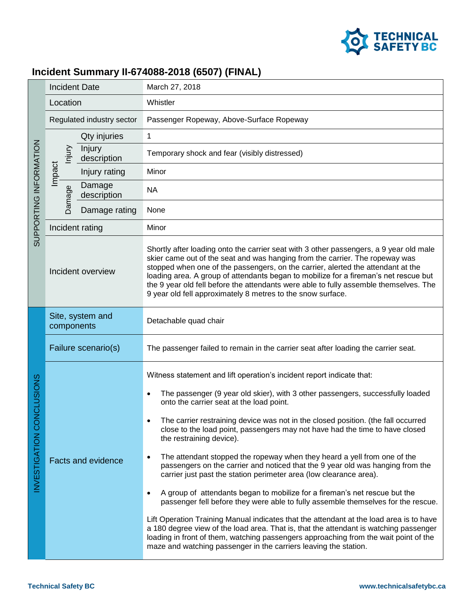

## **Incident Summary II-674088-2018 (6507) (FINAL)**

| SUPPORTING INFORMATION        | <b>Incident Date</b>           |                       | March 27, 2018                                                                                                                                                                                                                                                                                                                                                                                                                                                                                                                                                                                                                                                                                                                                                                                                                                                                                                                                                                                                                                                                                                                                                                                     |
|-------------------------------|--------------------------------|-----------------------|----------------------------------------------------------------------------------------------------------------------------------------------------------------------------------------------------------------------------------------------------------------------------------------------------------------------------------------------------------------------------------------------------------------------------------------------------------------------------------------------------------------------------------------------------------------------------------------------------------------------------------------------------------------------------------------------------------------------------------------------------------------------------------------------------------------------------------------------------------------------------------------------------------------------------------------------------------------------------------------------------------------------------------------------------------------------------------------------------------------------------------------------------------------------------------------------------|
|                               | Location                       |                       | Whistler                                                                                                                                                                                                                                                                                                                                                                                                                                                                                                                                                                                                                                                                                                                                                                                                                                                                                                                                                                                                                                                                                                                                                                                           |
|                               | Regulated industry sector      |                       | Passenger Ropeway, Above-Surface Ropeway                                                                                                                                                                                                                                                                                                                                                                                                                                                                                                                                                                                                                                                                                                                                                                                                                                                                                                                                                                                                                                                                                                                                                           |
|                               |                                | Qty injuries          | $\mathbf{1}$                                                                                                                                                                                                                                                                                                                                                                                                                                                                                                                                                                                                                                                                                                                                                                                                                                                                                                                                                                                                                                                                                                                                                                                       |
|                               | hjury                          | Injury<br>description | Temporary shock and fear (visibly distressed)                                                                                                                                                                                                                                                                                                                                                                                                                                                                                                                                                                                                                                                                                                                                                                                                                                                                                                                                                                                                                                                                                                                                                      |
|                               | Impact                         | Injury rating         | Minor                                                                                                                                                                                                                                                                                                                                                                                                                                                                                                                                                                                                                                                                                                                                                                                                                                                                                                                                                                                                                                                                                                                                                                                              |
|                               | Damage                         | Damage<br>description | <b>NA</b>                                                                                                                                                                                                                                                                                                                                                                                                                                                                                                                                                                                                                                                                                                                                                                                                                                                                                                                                                                                                                                                                                                                                                                                          |
|                               |                                | Damage rating         | None                                                                                                                                                                                                                                                                                                                                                                                                                                                                                                                                                                                                                                                                                                                                                                                                                                                                                                                                                                                                                                                                                                                                                                                               |
|                               | Incident rating                |                       | Minor                                                                                                                                                                                                                                                                                                                                                                                                                                                                                                                                                                                                                                                                                                                                                                                                                                                                                                                                                                                                                                                                                                                                                                                              |
|                               | Incident overview              |                       | Shortly after loading onto the carrier seat with 3 other passengers, a 9 year old male<br>skier came out of the seat and was hanging from the carrier. The ropeway was<br>stopped when one of the passengers, on the carrier, alerted the attendant at the<br>loading area. A group of attendants began to mobilize for a fireman's net rescue but<br>the 9 year old fell before the attendants were able to fully assemble themselves. The<br>9 year old fell approximately 8 metres to the snow surface.                                                                                                                                                                                                                                                                                                                                                                                                                                                                                                                                                                                                                                                                                         |
| ONCLUSIONS<br>INVESTIGATION C | Site, system and<br>components |                       | Detachable quad chair                                                                                                                                                                                                                                                                                                                                                                                                                                                                                                                                                                                                                                                                                                                                                                                                                                                                                                                                                                                                                                                                                                                                                                              |
|                               | Failure scenario(s)            |                       | The passenger failed to remain in the carrier seat after loading the carrier seat.                                                                                                                                                                                                                                                                                                                                                                                                                                                                                                                                                                                                                                                                                                                                                                                                                                                                                                                                                                                                                                                                                                                 |
|                               | <b>Facts and evidence</b>      |                       | Witness statement and lift operation's incident report indicate that:<br>The passenger (9 year old skier), with 3 other passengers, successfully loaded<br>$\bullet$<br>onto the carrier seat at the load point.<br>The carrier restraining device was not in the closed position. (the fall occurred<br>close to the load point, passengers may not have had the time to have closed<br>the restraining device).<br>The attendant stopped the ropeway when they heard a yell from one of the<br>$\bullet$<br>passengers on the carrier and noticed that the 9 year old was hanging from the<br>carrier just past the station perimeter area (low clearance area).<br>A group of attendants began to mobilize for a fireman's net rescue but the<br>$\bullet$<br>passenger fell before they were able to fully assemble themselves for the rescue.<br>Lift Operation Training Manual indicates that the attendant at the load area is to have<br>a 180 degree view of the load area. That is, that the attendant is watching passenger<br>loading in front of them, watching passengers approaching from the wait point of the<br>maze and watching passenger in the carriers leaving the station. |